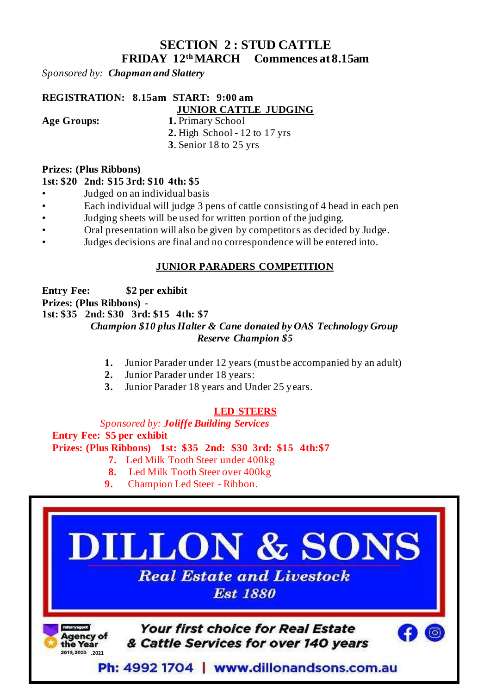# **SECTION 2 : STUD CATTLE FRIDAY 12 thMARCH Commences at 8.15am**

*Sponsored by: Chapman and Slattery*

# **REGISTRATION: 8.15am START: 9:00 am**

### **JUNIOR CATTLE JUDGING**

- **Age Groups: 1.** Primary School
	- **2.** High School 12 to 17 yrs
	- **3**. Senior 18 to 25 yrs

#### **Prizes: (Plus Ribbons)**

#### **1st: \$20 2nd: \$15 3rd: \$10 4th: \$5**

- Judged on an individual basis
- Each individual will judge 3 pens of cattle consisting of 4 head in each pen
- Judging sheets will be used for written portion of the judging.
- Oral presentation will also be given by competitors as decided by Judge.
- Judges decisions are final and no correspondence will be entered into.

### **JUNIOR PARADERS COMPETITION**

**Entry Fee: \$2 per exhibit Prizes: (Plus Ribbons)** - **1st: \$35 2nd: \$30 3rd: \$15 4th: \$7**  *Champion \$10 plus Halter & Cane donated by OAS Technology Group Reserve Champion \$5*

- **1.** Junior Parader under 12 years (must be accompanied by an adult)
- **2.** Junior Parader under 18 years:
- **3.** Junior Parader 18 years and Under 25 years.

### **LED STEERS**

#### *Sponsored by: Joliffe Building Services*

 **Entry Fee: \$5 per exhibit Prizes: (Plus Ribbons) 1st: \$35 2nd: \$30 3rd: \$15 4th:\$7**

- **7.** Led Milk Tooth Steer under 400kg
- **8.** Led Milk Tooth Steer over 400kg
- **9.** Champion Led Steer Ribbon.

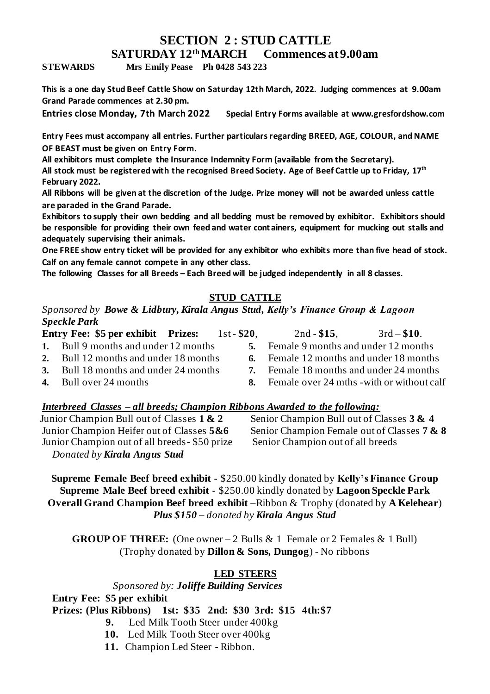#### **SECTION 2 : STUD CATTLE SATURDAY 12 thMARCH Commences at 9.00am**

**STEWARDS Mrs Emily Pease Ph 0428 543 223**

**This is a one day Stud Beef Cattle Show on Saturday 12th March, 2022. Judging commences at 9.00am Grand Parade commences at 2.30 pm.** 

**Entries close Monday, 7th March 2022 Special Entry Forms available at www.gresfordshow.com**

**Entry Fees must accompany all entries. Further particulars regarding BREED, AGE, COLOUR, and NAME OF BEAST must be given on Entry Form.**

**All exhibitors must complete the Insurance Indemnity Form (available from the Secretary).**

**All stock must be registered with the recognised Breed Society. Age of Beef Cattle up to Friday, 17 th February 2022.**

**All Ribbons will be given at the discretion of the Judge. Prize money will not be awarded unless cattle are paraded in the Grand Parade.** 

**Exhibitors to supply their own bedding and all bedding must be removed by exhibitor. Exhibitors should be responsible for providing their own feed and water containers, equipment for mucking out stalls and adequately supervising their animals.**

**One FREE show entry ticket will be provided for any exhibitor who exhibits more than five head of stock. Calf on any female cannot compete in any other class.**

**The following Classes for all Breeds – Each Breed will be judged independently in all 8 classes.**

### **STUD CATTLE**

*Sponsored by Bowe & Lidbury, Kirala Angus Stud, Kelly's Finance Group & Lagoon Speckle Park*

|    | Entry Fee: \$5 per exhibit Prizes:    | $1st - $20.$ | $2nd - $15$ .                                                 | $3rd - $10.$ |
|----|---------------------------------------|--------------|---------------------------------------------------------------|--------------|
|    | 1. Bull 9 months and under 12 months  | 5.           | Female 9 months and under 12 months                           |              |
|    | 2. Bull 12 months and under 18 months |              | 6. Female 12 months and under 18 months                       |              |
| 3. | Bull 18 months and under 24 months    | 7            | Female 18 months and under 24 months                          |              |
|    | 4 – Bull over $24$ months             |              | $\mathbf{\hat{x}}$ Female over 24 mths - with or without calf |              |

**4.** Bull over 24 months

#### *Interbreed Classes – all breeds; Champion Ribbons Awarded to the following:*

 Junior Champion Bull out of Classes **1 & 2** Junior Champion Heifer out of Classes **5&6** Junior Champion out of all breeds- \$50 prize Senior Champion out of all breeds *Donated by Kirala Angus Stud*

Senior Champion Bull out of Classes **3 & 4** Senior Champion Female out of Classes **7 & 8**

**Supreme Female Beef breed exhibit -** \$250.00 kindly donated by **Kelly's Finance Group Supreme Male Beef breed exhibit -** \$250.00 kindly donated by **Lagoon Speckle Park Overall Grand Champion Beef breed exhibit** –Ribbon & Trophy (donated by **A Kelehear**) *Plus \$150 – donated by Kirala Angus Stud*

**GROUP OF THREE:** (One owner – 2 Bulls & 1 Female or 2 Females & 1 Bull) (Trophy donated by **Dillon & Sons, Dungog**) - No ribbons

#### **LED STEERS**

### *Sponsored by: Joliffe Building Services*

 **Entry Fee: \$5 per exhibit**

 **Prizes: (Plus Ribbons) 1st: \$35 2nd: \$30 3rd: \$15 4th:\$7**

- **9.** Led Milk Tooth Steer under 400kg
- **10.** Led Milk Tooth Steer over 400kg
- **11.** Champion Led Steer Ribbon.